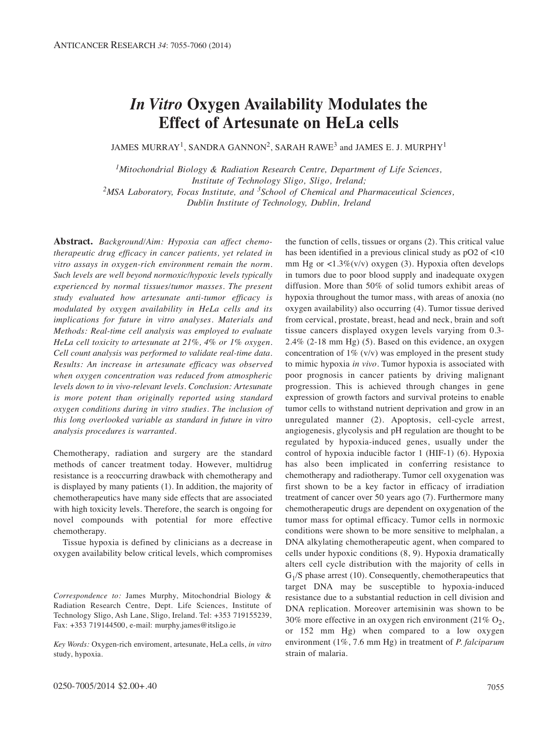# *In Vitro* **Oxygen Availability Modulates the Effect of Artesunate on HeLa cells**

JAMES MURRAY<sup>1</sup>, SANDRA GANNON<sup>2</sup>, SARAH RAWE<sup>3</sup> and JAMES E. J. MURPHY<sup>1</sup>

*1Mitochondrial Biology & Radiation Research Centre, Department of Life Sciences, Institute of Technology Sligo, Sligo, Ireland; 2MSA Laboratory, Focas Institute, and 3School of Chemical and Pharmaceutical Sciences, Dublin Institute of Technology, Dublin, Ireland*

**Abstract.** *Background/Aim: Hypoxia can affect chemo therapeutic drug efficacy in cancer patients, yet related in vitro assays in oxygen-rich environment remain the norm. Such levels are well beyond normoxic/hypoxic levels typically experienced by normal tissues/tumor masses. The present study evaluated how artesunate anti-tumor efficacy is modulated by oxygen availability in HeLa cells and its implications for future in vitro analyses. Materials and Methods: Real-time cell analysis was employed to evaluate HeLa cell toxicity to artesunate at 21%, 4% or 1% oxygen. Cell count analysis was performed to validate real-time data. Results: An increase in artesunate efficacy was observed when oxygen concentration was reduced from atmospheric levels down to in vivo-relevant levels. Conclusion: Artesunate is more potent than originally reported using standard oxygen conditions during in vitro studies. The inclusion of this long overlooked variable as standard in future in vitro analysis procedures is warranted.* 

Chemotherapy, radiation and surgery are the standard methods of cancer treatment today. However, multidrug resistance is a reoccurring drawback with chemotherapy and is displayed by many patients (1). In addition, the majority of chemotherapeutics have many side effects that are associated with high toxicity levels. Therefore, the search is ongoing for novel compounds with potential for more effective chemotherapy.

Tissue hypoxia is defined by clinicians as a decrease in oxygen availability below critical levels, which compromises

*Key Words:* Oxygen-rich enviroment, artesunate, HeLa cells, *in vitro* study, hypoxia.

the function of cells, tissues or organs (2). This critical value has been identified in a previous clinical study as pO2 of <10 mm Hg or  $\langle 1.3\% \rangle$  (v/v) oxygen (3). Hypoxia often develops in tumors due to poor blood supply and inadequate oxygen diffusion. More than 50% of solid tumors exhibit areas of hypoxia throughout the tumor mass, with areas of anoxia (no oxygen availability) also occurring (4). Tumor tissue derived from cervical, prostate, breast, head and neck, brain and soft tissue cancers displayed oxygen levels varying from 0.3- 2.4% (2-18 mm Hg) (5). Based on this evidence, an oxygen concentration of  $1\%$  (v/v) was employed in the present study to mimic hypoxia *in vivo*. Tumor hypoxia is associated with poor prognosis in cancer patients by driving malignant progression. This is achieved through changes in gene expression of growth factors and survival proteins to enable tumor cells to withstand nutrient deprivation and grow in an unregulated manner (2). Apoptosis, cell-cycle arrest, angiogenesis, glycolysis and pH regulation are thought to be regulated by hypoxia-induced genes, usually under the control of hypoxia inducible factor 1 (HIF-1) (6). Hypoxia has also been implicated in conferring resistance to chemotherapy and radiotherapy. Tumor cell oxygenation was first shown to be a key factor in efficacy of irradiation treatment of cancer over 50 years ago (7). Furthermore many chemotherapeutic drugs are dependent on oxygenation of the tumor mass for optimal efficacy. Tumor cells in normoxic conditions were shown to be more sensitive to melphalan, a DNA alkylating chemotherapeutic agent, when compared to cells under hypoxic conditions (8, 9). Hypoxia dramatically alters cell cycle distribution with the majority of cells in  $G_1/S$  phase arrest (10). Consequently, chemotherapeutics that target DNA may be susceptible to hypoxia-induced resistance due to a substantial reduction in cell division and DNA replication. Moreover artemisinin was shown to be 30% more effective in an oxygen rich environment (21%  $O_2$ , or 152 mm Hg) when compared to a low oxygen environment (1%, 7.6 mm Hg) in treatment of *P. falciparum* strain of malaria.

*Correspondence to:* James Murphy, Mitochondrial Biology & Radiation Research Centre, Dept. Life Sciences, Institute of Technology Sligo, Ash Lane, Sligo, Ireland. Tel: +353 719155239, Fax: +353 719144500, e-mail: murphy.james@itsligo.ie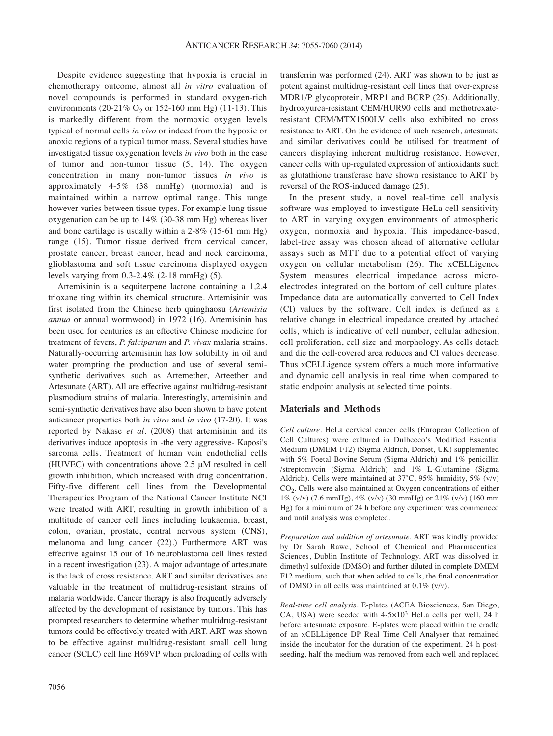Despite evidence suggesting that hypoxia is crucial in chemotherapy outcome, almost all *in vitro* evaluation of novel compounds is performed in standard oxygen-rich environments (20-21%  $O_2$  or 152-160 mm Hg) (11-13). This is markedly different from the normoxic oxygen levels typical of normal cells *in vivo* or indeed from the hypoxic or anoxic regions of a typical tumor mass. Several studies have investigated tissue oxygenation levels *in vivo* both in the case of tumor and non-tumor tissue (5, 14). The oxygen concentration in many non-tumor tissues *in vivo* is approximately 4-5% (38 mmHg) (normoxia) and is maintained within a narrow optimal range. This range however varies between tissue types. For example lung tissue oxygenation can be up to 14% (30-38 mm Hg) whereas liver and bone cartilage is usually within a 2-8% (15-61 mm Hg) range (15). Tumor tissue derived from cervical cancer, prostate cancer, breast cancer, head and neck carcinoma, glioblastoma and soft tissue carcinoma displayed oxygen levels varying from 0.3-2.4% (2-18 mmHg) (5).

Artemisinin is a sequiterpene lactone containing a 1,2,4 trioxane ring within its chemical structure. Artemisinin was first isolated from the Chinese herb quinghaosu (*Artemisia annua* or annual wormwood) in 1972 (16). Artemisinin has been used for centuries as an effective Chinese medicine for treatment of fevers, *P. falciparum* and *P. vivax* malaria strains. Naturally-occurring artemisinin has low solubility in oil and water prompting the production and use of several semisynthetic derivatives such as Artemether, Arteether and Artesunate (ART). All are effective against multidrug-resistant plasmodium strains of malaria. Interestingly, artemisinin and semi-synthetic derivatives have also been shown to have potent anticancer properties both *in vitro* and *in vivo* (17-20). It was reported by Nakase *et al.* (2008) that artemisinin and its derivatives induce apoptosis in -the very aggressive- Kaposi's sarcoma cells. Treatment of human vein endothelial cells (HUVEC) with concentrations above 2.5 μM resulted in cell growth inhibition, which increased with drug concentration. Fifty-five different cell lines from the Developmental Therapeutics Program of the National Cancer Institute NCI were treated with ART, resulting in growth inhibition of a multitude of cancer cell lines including leukaemia, breast, colon, ovarian, prostate, central nervous system (CNS), melanoma and lung cancer (22).) Furthermore ART was effective against 15 out of 16 neuroblastoma cell lines tested in a recent investigation (23). A major advantage of artesunate is the lack of cross resistance. ART and similar derivatives are valuable in the treatment of multidrug-resistant strains of malaria worldwide. Cancer therapy is also frequently adversely affected by the development of resistance by tumors. This has prompted researchers to determine whether multidrug-resistant tumors could be effectively treated with ART. ART was shown to be effective against multidrug-resistant small cell lung cancer (SCLC) cell line H69VP when preloading of cells with

transferrin was performed (24). ART was shown to be just as potent against multidrug-resistant cell lines that over-express MDR1/P glycoprotein, MRP1 and BCRP (25). Additionally, hydroxyurea-resistant CEM/HUR90 cells and methotrexateresistant CEM/MTX1500LV cells also exhibited no cross resistance to ART. On the evidence of such research, artesunate and similar derivatives could be utilised for treatment of cancers displaying inherent multidrug resistance. However, cancer cells with up-regulated expression of antioxidants such as glutathione transferase have shown resistance to ART by reversal of the ROS-induced damage (25).

In the present study, a novel real-time cell analysis software was employed to investigate HeLa cell sensitivity to ART in varying oxygen environments of atmospheric oxygen, normoxia and hypoxia. This impedance-based, label-free assay was chosen ahead of alternative cellular assays such as MTT due to a potential effect of varying oxygen on cellular metabolism (26). The xCELLigence System measures electrical impedance across microelectrodes integrated on the bottom of cell culture plates. Impedance data are automatically converted to Cell Index (CI) values by the software. Cell index is defined as a relative change in electrical impedance created by attached cells, which is indicative of cell number, cellular adhesion, cell proliferation, cell size and morphology. As cells detach and die the cell-covered area reduces and CI values decrease. Thus xCELLigence system offers a much more informative and dynamic cell analysis in real time when compared to static endpoint analysis at selected time points.

# **Materials and Methods**

*Cell culture.* HeLa cervical cancer cells (European Collection of Cell Cultures) were cultured in Dulbecco's Modified Essential Medium (DMEM F12) (Sigma Aldrich, Dorset, UK) supplemented with 5% Foetal Bovine Serum (Sigma Aldrich) and 1% penicillin /streptomycin (Sigma Aldrich) and 1% L-Glutamine (Sigma Aldrich). Cells were maintained at 37˚C, 95% humidity, 5% (v/v) CO2. Cells were also maintained at Oxygen concentrations of either 1% (v/v) (7.6 mmHg), 4% (v/v) (30 mmHg) or 21% (v/v) (160 mm Hg) for a minimum of 24 h before any experiment was commenced and until analysis was completed.

*Preparation and addition of artesunate.* ART was kindly provided by Dr Sarah Rawe, School of Chemical and Pharmaceutical Sciences, Dublin Institute of Technology. ART was dissolved in dimethyl sulfoxide (DMSO) and further diluted in complete DMEM F12 medium, such that when added to cells, the final concentration of DMSO in all cells was maintained at 0.1% (v/v).

*Real-time cell analysis.* E-plates (ACEA Biosciences, San Diego, CA, USA) were seeded with 4-5×103 HeLa cells per well, 24 h before artesunate exposure. E-plates were placed within the cradle of an xCELLigence DP Real Time Cell Analyser that remained inside the incubator for the duration of the experiment. 24 h postseeding, half the medium was removed from each well and replaced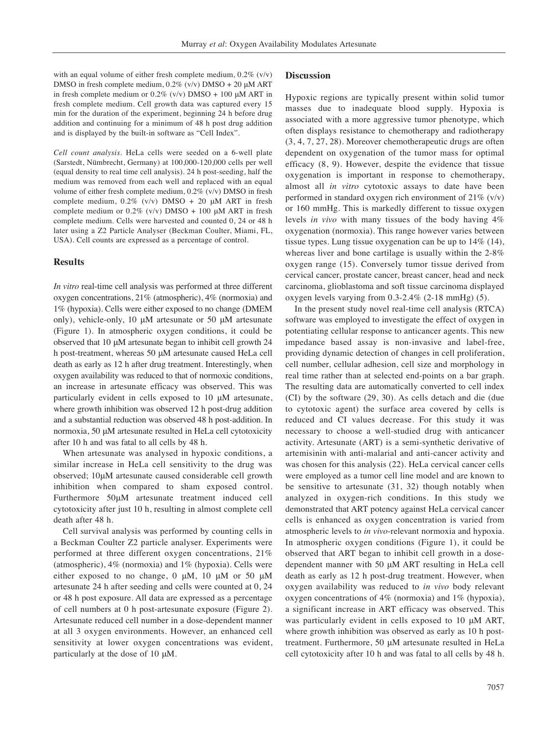with an equal volume of either fresh complete medium,  $0.2\%$  (v/v) DMSO in fresh complete medium, 0.2% (v/v) DMSO + 20 μM ART in fresh complete medium or  $0.2\%$  (v/v) DMSO + 100  $\mu$ M ART in fresh complete medium. Cell growth data was captured every 15 min for the duration of the experiment, beginning 24 h before drug addition and continuing for a minimum of 48 h post drug addition and is displayed by the built-in software as "Cell Index".

*Cell count analysis*. HeLa cells were seeded on a 6-well plate (Sarstedt, Nümbrecht, Germany) at 100,000-120,000 cells per well (equal density to real time cell analysis). 24 h post-seeding, half the medium was removed from each well and replaced with an equal volume of either fresh complete medium, 0.2% (v/v) DMSO in fresh complete medium,  $0.2\%$  (v/v) DMSO + 20 μM ART in fresh complete medium or  $0.2\%$  (v/v) DMSO + 100 μM ART in fresh complete medium. Cells were harvested and counted 0, 24 or 48 h later using a Z2 Particle Analyser (Beckman Coulter, Miami, FL, USA). Cell counts are expressed as a percentage of control.

### **Results**

*In vitro* real-time cell analysis was performed at three different oxygen concentrations, 21% (atmospheric), 4% (normoxia) and 1% (hypoxia). Cells were either exposed to no change (DMEM only), vehicle-only, 10 μM artesunate or 50 μM artesunate (Figure 1). In atmospheric oxygen conditions, it could be observed that 10 μM artesunate began to inhibit cell growth 24 h post-treatment, whereas 50 μM artesunate caused HeLa cell death as early as 12 h after drug treatment. Interestingly, when oxygen availability was reduced to that of normoxic conditions, an increase in artesunate efficacy was observed. This was particularly evident in cells exposed to 10 μM artesunate, where growth inhibition was observed 12 h post-drug addition and a substantial reduction was observed 48 h post-addition. In normoxia, 50 μM artesunate resulted in HeLa cell cytotoxicity after 10 h and was fatal to all cells by 48 h.

When artesunate was analysed in hypoxic conditions, a similar increase in HeLa cell sensitivity to the drug was observed; 10μM artesunate caused considerable cell growth inhibition when compared to sham exposed control. Furthermore 50μM artesunate treatment induced cell cytotoxicity after just 10 h, resulting in almost complete cell death after 48 h.

Cell survival analysis was performed by counting cells in a Beckman Coulter Z2 particle analyser. Experiments were performed at three different oxygen concentrations, 21% (atmospheric), 4% (normoxia) and 1% (hypoxia). Cells were either exposed to no change, 0  $\mu$ M, 10  $\mu$ M or 50  $\mu$ M artesunate 24 h after seeding and cells were counted at 0, 24 or 48 h post exposure. All data are expressed as a percentage of cell numbers at 0 h post-artesunate exposure (Figure 2). Artesunate reduced cell number in a dose-dependent manner at all 3 oxygen environments. However, an enhanced cell sensitivity at lower oxygen concentrations was evident, particularly at the dose of 10 μM.

#### **Discussion**

Hypoxic regions are typically present within solid tumor masses due to inadequate blood supply. Hypoxia is associated with a more aggressive tumor phenotype, which often displays resistance to chemotherapy and radiotherapy (3, 4, 7, 27, 28). Moreover chemotherapeutic drugs are often dependent on oxygenation of the tumor mass for optimal efficacy (8, 9). However, despite the evidence that tissue oxygenation is important in response to chemotherapy, almost all *in vitro* cytotoxic assays to date have been performed in standard oxygen rich environment of  $21\%$  (v/v) or 160 mmHg. This is markedly different to tissue oxygen levels *in vivo* with many tissues of the body having 4% oxygenation (normoxia). This range however varies between tissue types. Lung tissue oxygenation can be up to 14% (14), whereas liver and bone cartilage is usually within the 2-8% oxygen range (15). Conversely tumor tissue derived from cervical cancer, prostate cancer, breast cancer, head and neck carcinoma, glioblastoma and soft tissue carcinoma displayed oxygen levels varying from 0.3-2.4% (2-18 mmHg) (5).

In the present study novel real-time cell analysis (RTCA) software was employed to investigate the effect of oxygen in potentiating cellular response to anticancer agents. This new impedance based assay is non-invasive and label-free, providing dynamic detection of changes in cell proliferation, cell number, cellular adhesion, cell size and morphology in real time rather than at selected end-points on a bar graph. The resulting data are automatically converted to cell index (CI) by the software (29, 30). As cells detach and die (due to cytotoxic agent) the surface area covered by cells is reduced and CI values decrease. For this study it was necessary to choose a well-studied drug with anticancer activity. Artesunate (ART) is a semi-synthetic derivative of artemisinin with anti-malarial and anti-cancer activity and was chosen for this analysis (22). HeLa cervical cancer cells were employed as a tumor cell line model and are known to be sensitive to artesunate (31, 32) though notably when analyzed in oxygen-rich conditions. In this study we demonstrated that ART potency against HeLa cervical cancer cells is enhanced as oxygen concentration is varied from atmospheric levels to *in vivo*-relevant normoxia and hypoxia. In atmospheric oxygen conditions (Figure 1), it could be observed that ART began to inhibit cell growth in a dosedependent manner with 50 μM ART resulting in HeLa cell death as early as 12 h post-drug treatment. However, when oxygen availability was reduced to *in vivo* body relevant oxygen concentrations of 4% (normoxia) and 1% (hypoxia), a significant increase in ART efficacy was observed. This was particularly evident in cells exposed to 10 μM ART, where growth inhibition was observed as early as 10 h posttreatment. Furthermore, 50 μM artesunate resulted in HeLa cell cytotoxicity after 10 h and was fatal to all cells by 48 h.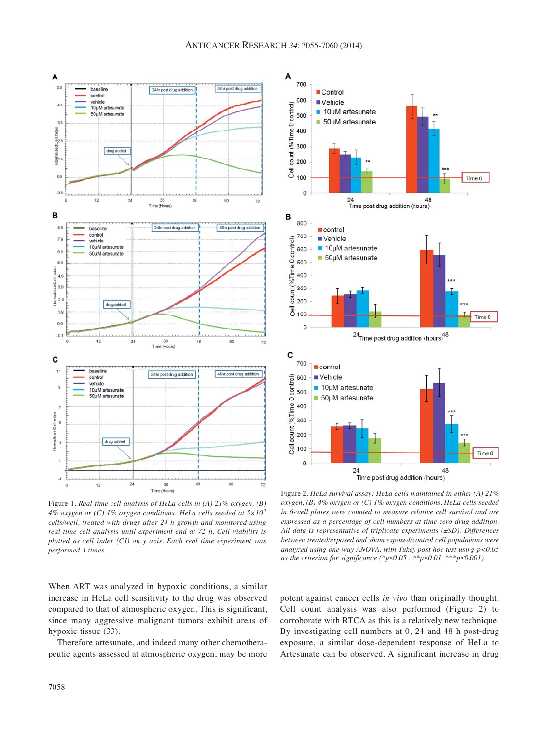

Figure 1. *Real-time cell analysis of HeLa cells in (A) 21% oxygen, (B) 4% oxygen or (C) 1% oxygen conditions. HeLa cells seeded at 5×103 cells/well, treated with drugs after 24 h growth and monitored using real-time cell analysis until experiment end at 72 h. Cell viability is plotted as cell index (CI) on y axis. Each real time experiment was performed 3 times.*

When ART was analyzed in hypoxic conditions, a similar increase in HeLa cell sensitivity to the drug was observed compared to that of atmospheric oxygen. This is significant, since many aggressive malignant tumors exhibit areas of hypoxic tissue (33).

Therefore artesunate, and indeed many other chemotherapeutic agents assessed at atmospheric oxygen, may be more



Figure 2. *HeLa survival assay: HeLa cells maintained in either (A) 21% oxygen, (B) 4% oxygen or (C) 1% oxygen conditions. HeLa cells seeded in 6-well plates were counted to measure relative cell survival and are expressed as a percentage of cell numbers at time zero drug addition. All data is representative of triplicate experiments (±SD). Differences between treated/exposed and sham exposed/control cell populations were analyzed using one-way ANOVA, with Tukey post hoc test using p<0.05 as the criterion for significance (\*p≤0.05 , \*\*p≤0.01, \*\*\*p≤0.001).*

potent against cancer cells *in vivo* than originally thought. Cell count analysis was also performed (Figure 2) to corroborate with RTCA as this is a relatively new technique. By investigating cell numbers at 0, 24 and 48 h post-drug exposure, a similar dose-dependent response of HeLa to Artesunate can be observed. A significant increase in drug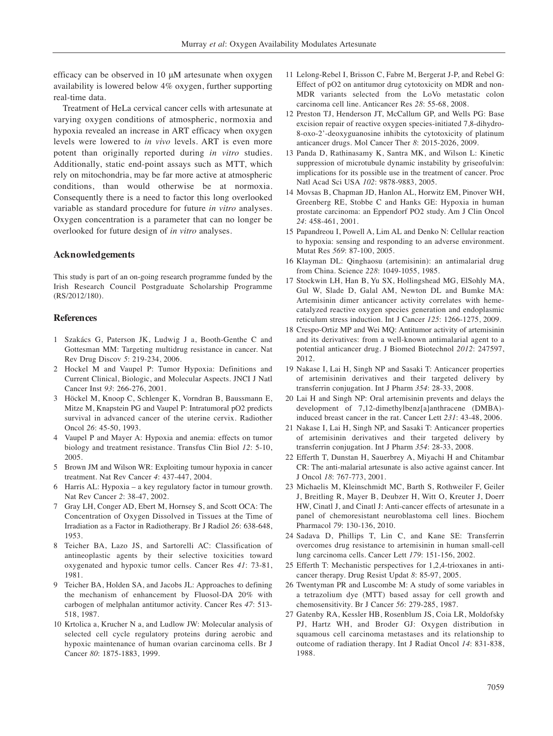efficacy can be observed in 10 μM artesunate when oxygen availability is lowered below 4% oxygen, further supporting real-time data.

Treatment of HeLa cervical cancer cells with artesunate at varying oxygen conditions of atmospheric, normoxia and hypoxia revealed an increase in ART efficacy when oxygen levels were lowered to *in vivo* levels. ART is even more potent than originally reported during *in vitro* studies. Additionally, static end-point assays such as MTT, which rely on mitochondria, may be far more active at atmospheric conditions, than would otherwise be at normoxia. Consequently there is a need to factor this long overlooked variable as standard procedure for future *in vitro* analyses. Oxygen concentration is a parameter that can no longer be overlooked for future design of *in vitro* analyses.

## **Acknowledgements**

This study is part of an on-going research programme funded by the Irish Research Council Postgraduate Scholarship Programme (RS/2012/180).

#### **References**

- 1 Szakács G, Paterson JK, Ludwig J a, Booth-Genthe C and Gottesman MM: Targeting multidrug resistance in cancer. Nat Rev Drug Discov *5*: 219-234, 2006.
- 2 Hockel M and Vaupel P: Tumor Hypoxia: Definitions and Current Clinical, Biologic, and Molecular Aspects. JNCI J Natl Cancer Inst *93*: 266-276, 2001.
- 3 Höckel M, Knoop C, Schlenger K, Vorndran B, Baussmann E, Mitze M, Knapstein PG and Vaupel P: Intratumoral pO2 predicts survival in advanced cancer of the uterine cervix. Radiother Oncol *26*: 45-50, 1993.
- 4 Vaupel P and Mayer A: Hypoxia and anemia: effects on tumor biology and treatment resistance. Transfus Clin Biol *12*: 5-10, 2005.
- 5 Brown JM and Wilson WR: Exploiting tumour hypoxia in cancer treatment. Nat Rev Cancer *4*: 437-447, 2004.
- 6 Harris AL: Hypoxia a key regulatory factor in tumour growth. Nat Rev Cancer *2*: 38-47, 2002.
- 7 Gray LH, Conger AD, Ebert M, Hornsey S, and Scott OCA: The Concentration of Oxygen Dissolved in Tissues at the Time of Irradiation as a Factor in Radiotherapy. Br J Radiol *26*: 638-648, 1953.
- 8 Teicher BA, Lazo JS, and Sartorelli AC: Classification of antineoplastic agents by their selective toxicities toward oxygenated and hypoxic tumor cells. Cancer Res *41*: 73-81, 1981.
- 9 Teicher BA, Holden SA, and Jacobs JL: Approaches to defining the mechanism of enhancement by Fluosol-DA 20% with carbogen of melphalan antitumor activity. Cancer Res *47*: 513- 518, 1987.
- 10 Krtolica a, Krucher N a, and Ludlow JW: Molecular analysis of selected cell cycle regulatory proteins during aerobic and hypoxic maintenance of human ovarian carcinoma cells. Br J Cancer *80*: 1875-1883, 1999.
- 11 Lelong-Rebel I, Brisson C, Fabre M, Bergerat J-P, and Rebel G: Effect of pO2 on antitumor drug cytotoxicity on MDR and non-MDR variants selected from the LoVo metastatic colon carcinoma cell line. Anticancer Res *28*: 55-68, 2008.
- 12 Preston TJ, Henderson JT, McCallum GP, and Wells PG: Base excision repair of reactive oxygen species-initiated 7,8-dihydro-8-oxo-2'-deoxyguanosine inhibits the cytotoxicity of platinum anticancer drugs. Mol Cancer Ther *8*: 2015-2026, 2009.
- 13 Panda D, Rathinasamy K, Santra MK, and Wilson L: Kinetic suppression of microtubule dynamic instability by griseofulvin: implications for its possible use in the treatment of cancer. Proc Natl Acad Sci USA *102*: 9878-9883, 2005.
- 14 Movsas B, Chapman JD, Hanlon AL, Horwitz EM, Pinover WH, Greenberg RE, Stobbe C and Hanks GE: Hypoxia in human prostate carcinoma: an Eppendorf PO2 study. Am J Clin Oncol *24*: 458-461, 2001.
- 15 Papandreou I, Powell A, Lim AL and Denko N: Cellular reaction to hypoxia: sensing and responding to an adverse environment. Mutat Res *569*: 87-100, 2005.
- 16 Klayman DL: Qinghaosu (artemisinin): an antimalarial drug from China. Science *228*: 1049-1055, 1985.
- 17 Stockwin LH, Han B, Yu SX, Hollingshead MG, ElSohly MA, Gul W, Slade D, Galal AM, Newton DL and Bumke MA: Artemisinin dimer anticancer activity correlates with hemecatalyzed reactive oxygen species generation and endoplasmic reticulum stress induction. Int J Cancer *125*: 1266-1275, 2009.
- 18 Crespo-Ortiz MP and Wei MQ: Antitumor activity of artemisinin and its derivatives: from a well-known antimalarial agent to a potential anticancer drug. J Biomed Biotechnol *2012*: 247597, 2012.
- 19 Nakase I, Lai H, Singh NP and Sasaki T: Anticancer properties of artemisinin derivatives and their targeted delivery by transferrin conjugation. Int J Pharm *354*: 28-33, 2008.
- 20 Lai H and Singh NP: Oral artemisinin prevents and delays the development of 7,12-dimethylbenz[a]anthracene (DMBA) induced breast cancer in the rat. Cancer Lett *231*: 43-48, 2006.
- 21 Nakase I, Lai H, Singh NP, and Sasaki T: Anticancer properties of artemisinin derivatives and their targeted delivery by transferrin conjugation. Int J Pharm *354*: 28-33, 2008.
- 22 Efferth T, Dunstan H, Sauerbrey A, Miyachi H and Chitambar CR: The anti-malarial artesunate is also active against cancer. Int J Oncol *18*: 767-773, 2001.
- 23 Michaelis M, Kleinschmidt MC, Barth S, Rothweiler F, Geiler J, Breitling R, Mayer B, Deubzer H, Witt O, Kreuter J, Doerr HW, Cinatl J, and Cinatl J: Anti-cancer effects of artesunate in a panel of chemoresistant neuroblastoma cell lines. Biochem Pharmacol *79*: 130-136, 2010.
- 24 Sadava D, Phillips T, Lin C, and Kane SE: Transferrin overcomes drug resistance to artemisinin in human small-cell lung carcinoma cells. Cancer Lett *179*: 151-156, 2002.
- 25 Efferth T: Mechanistic perspectives for 1,2,4-trioxanes in anticancer therapy. Drug Resist Updat *8*: 85-97, 2005.
- 26 Twentyman PR and Luscombe M: A study of some variables in a tetrazolium dye (MTT) based assay for cell growth and chemosensitivity. Br J Cancer *56*: 279-285, 1987.
- 27 Gatenby RA, Kessler HB, Rosenblum JS, Coia LR, Moldofsky PJ, Hartz WH, and Broder GJ: Oxygen distribution in squamous cell carcinoma metastases and its relationship to outcome of radiation therapy. Int J Radiat Oncol *14*: 831-838, 1988.